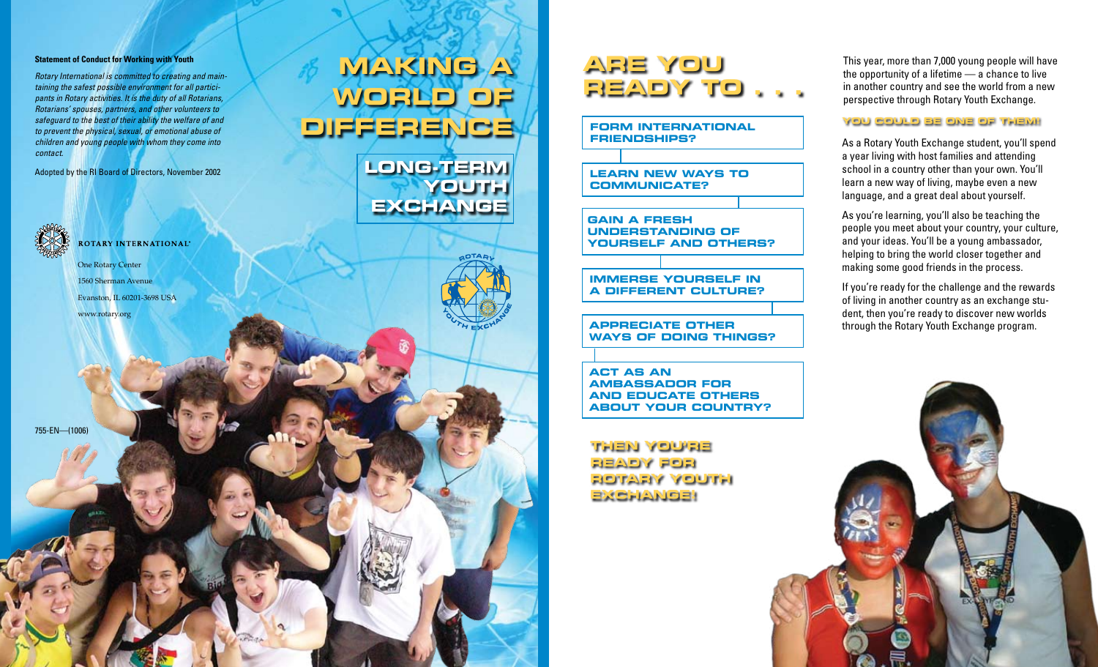#### **Statement of Conduct for Working with Youth**

*Rotary International is committed to creating and maintaining the safest possible environment for all participants in Rotary activities. It is the duty of all Rotarians, Rotarians' spouses, partners, and other volunteers to safeguard to the best of their ability the welfare of and to prevent the physical, sexual, or emotional abuse of children and young people with whom they come into contact.*

Adopted by the RI Board of Directors, November 2002



**ROTARY INTERNATIONAL®** 

One Rotary Center 1560 Sherman Avenue Evanston, IL 60201-3698 USA www.rotary.org

755-EN—(1006)

# **Making a World of Difference**

**Long-Term Youth Exchange**

## **Are you ready to . . .**

**Form international friendships?**

**Learn new ways to communicate?**

**Gain a fresh understanding of yourself and others?**

**Immerse yourself in a different culture?**

**Appreciate other ways of doing things?**

**Act as an ambassador for and educate others about your country?**

**Then you're ready for Rotary Youth Exchange!**

This year, more than 7,000 young people will have the opportunity of a lifetime — a chance to live in another country and see the world from a new perspective through Rotary Youth Exchange.

#### **You could be one of them!**

As a Rotary Youth Exchange student, you'll spend a year living with host families and attending school in a country other than your own. You'll learn a new way of living, maybe even a new language, and a great deal about yourself.

As you're learning, you'll also be teaching the people you meet about your country, your culture, and your ideas. You'll be a young ambassador, helping to bring the world closer together and making some good friends in the process.

If you're ready for the challenge and the rewards of living in another country as an exchange student, then you're ready to discover new worlds through the Rotary Youth Exchange program.